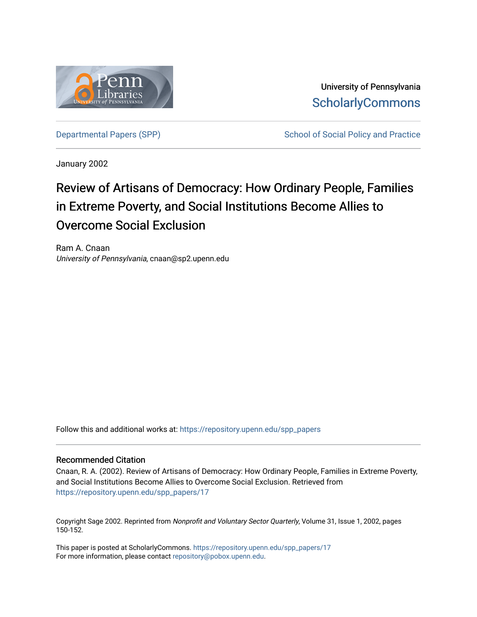

University of Pennsylvania **ScholarlyCommons** 

[Departmental Papers \(SPP\)](https://repository.upenn.edu/spp_papers) School of Social Policy and Practice

January 2002

# Review of Artisans of Democracy: How Ordinary People, Families in Extreme Poverty, and Social Institutions Become Allies to Overcome Social Exclusion

Ram A. Cnaan University of Pennsylvania, cnaan@sp2.upenn.edu

Follow this and additional works at: [https://repository.upenn.edu/spp\\_papers](https://repository.upenn.edu/spp_papers?utm_source=repository.upenn.edu%2Fspp_papers%2F17&utm_medium=PDF&utm_campaign=PDFCoverPages) 

#### Recommended Citation

Cnaan, R. A. (2002). Review of Artisans of Democracy: How Ordinary People, Families in Extreme Poverty, and Social Institutions Become Allies to Overcome Social Exclusion. Retrieved from [https://repository.upenn.edu/spp\\_papers/17](https://repository.upenn.edu/spp_papers/17?utm_source=repository.upenn.edu%2Fspp_papers%2F17&utm_medium=PDF&utm_campaign=PDFCoverPages)

Copyright Sage 2002. Reprinted from Nonprofit and Voluntary Sector Quarterly, Volume 31, Issue 1, 2002, pages 150-152.

This paper is posted at ScholarlyCommons. [https://repository.upenn.edu/spp\\_papers/17](https://repository.upenn.edu/spp_papers/17)  For more information, please contact [repository@pobox.upenn.edu.](mailto:repository@pobox.upenn.edu)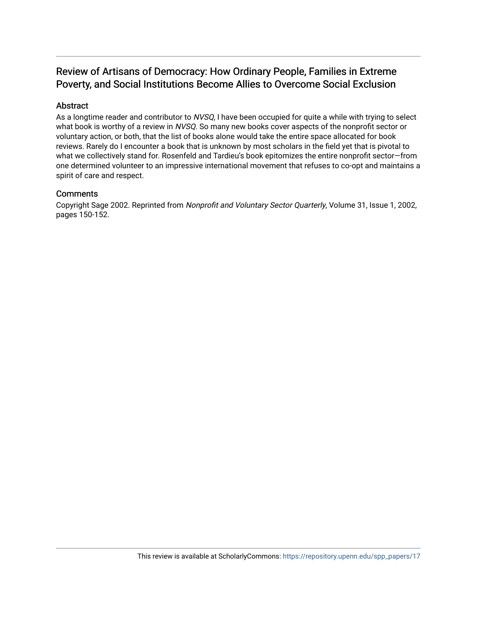## Review of Artisans of Democracy: How Ordinary People, Families in Extreme Poverty, and Social Institutions Become Allies to Overcome Social Exclusion

## Abstract

As a longtime reader and contributor to NVSQ, I have been occupied for quite a while with trying to select what book is worthy of a review in NVSQ. So many new books cover aspects of the nonprofit sector or voluntary action, or both, that the list of books alone would take the entire space allocated for book reviews. Rarely do I encounter a book that is unknown by most scholars in the field yet that is pivotal to what we collectively stand for. Rosenfeld and Tardieu's book epitomizes the entire nonprofit sector—from one determined volunteer to an impressive international movement that refuses to co-opt and maintains a spirit of care and respect.

### **Comments**

Copyright Sage 2002. Reprinted from Nonprofit and Voluntary Sector Quarterly, Volume 31, Issue 1, 2002, pages 150-152.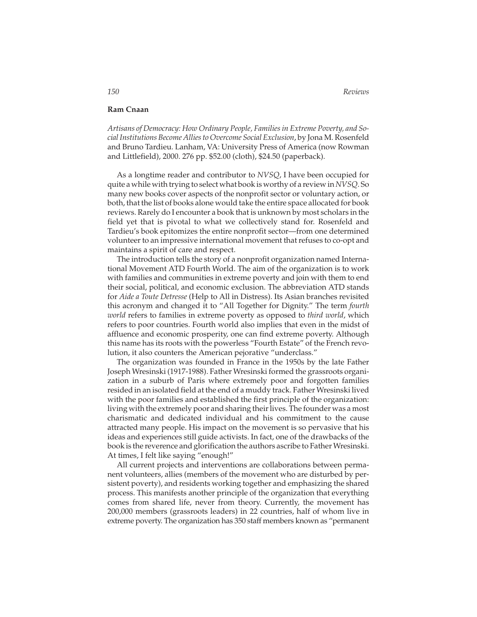#### **Ram Cnaan**

*Artisans of Democracy: How Ordinary People, Families in Extreme Poverty, and Social Institutions Become Allies to Overcome Social Exclusion*, by Jona M. Rosenfeld and Bruno Tardieu. Lanham, VA: University Press of America (now Rowman and Littlefield), 2000. 276 pp. \$52.00 (cloth), \$24.50 (paperback).

As a longtime reader and contributor to *NVSQ*, I have been occupied for quite a while with trying to select what book is worthy of a review in*NVSQ*. So many new books cover aspects of the nonprofit sector or voluntary action, or both, that the list of books alone would take the entire space allocated for book reviews. Rarely do I encounter a book that is unknown by most scholars in the field yet that is pivotal to what we collectively stand for. Rosenfeld and Tardieu's book epitomizes the entire nonprofit sector—from one determined volunteer to an impressive international movement that refuses to co-opt and maintains a spirit of care and respect.

The introduction tells the story of a nonprofit organization named International Movement ATD Fourth World. The aim of the organization is to work with families and communities in extreme poverty and join with them to end their social, political, and economic exclusion. The abbreviation ATD stands for *Aide a Toute Detresse* (Help to All in Distress). Its Asian branches revisited this acronym and changed it to "All Together for Dignity." The term *fourth world* refers to families in extreme poverty as opposed to *third world*, which refers to poor countries. Fourth world also implies that even in the midst of affluence and economic prosperity, one can find extreme poverty. Although this name has its roots with the powerless "Fourth Estate" of the French revolution, it also counters the American pejorative "underclass."

The organization was founded in France in the 1950s by the late Father Joseph Wresinski (1917-1988). Father Wresinski formed the grassroots organization in a suburb of Paris where extremely poor and forgotten families resided in an isolated field at the end of a muddy track. Father Wresinski lived with the poor families and established the first principle of the organization: living with the extremely poor and sharing their lives. The founder was a most charismatic and dedicated individual and his commitment to the cause attracted many people. His impact on the movement is so pervasive that his ideas and experiences still guide activists. In fact, one of the drawbacks of the book is the reverence and glorification the authors ascribe to Father Wresinski. At times, I felt like saying "enough!"

All current projects and interventions are collaborations between permanent volunteers, allies (members of the movement who are disturbed by persistent poverty), and residents working together and emphasizing the shared process. This manifests another principle of the organization that everything comes from shared life, never from theory. Currently, the movement has 200,000 members (grassroots leaders) in 22 countries, half of whom live in extreme poverty. The organization has 350 staff members known as "permanent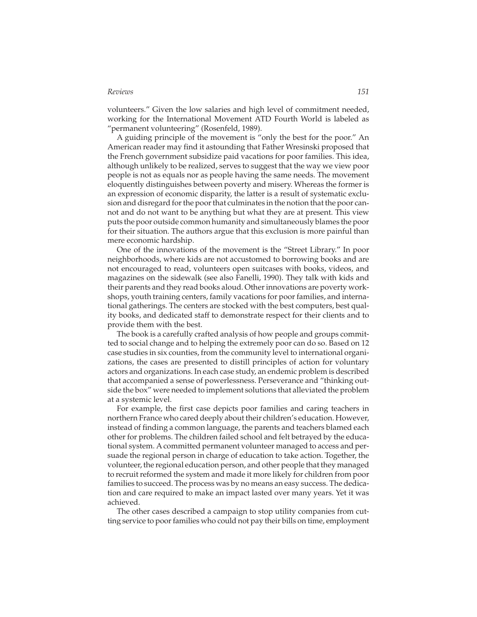#### *Reviews 151*

volunteers." Given the low salaries and high level of commitment needed, working for the International Movement ATD Fourth World is labeled as "permanent volunteering" (Rosenfeld, 1989).

A guiding principle of the movement is "only the best for the poor." An American reader may find it astounding that Father Wresinski proposed that the French government subsidize paid vacations for poor families. This idea, although unlikely to be realized, serves to suggest that the way we view poor people is not as equals nor as people having the same needs. The movement eloquently distinguishes between poverty and misery. Whereas the former is an expression of economic disparity, the latter is a result of systematic exclusion and disregard for the poor that culminates in the notion that the poor cannot and do not want to be anything but what they are at present. This view puts the poor outside common humanity and simultaneously blames the poor for their situation. The authors argue that this exclusion is more painful than mere economic hardship.

One of the innovations of the movement is the "Street Library." In poor neighborhoods, where kids are not accustomed to borrowing books and are not encouraged to read, volunteers open suitcases with books, videos, and magazines on the sidewalk (see also Fanelli, 1990). They talk with kids and their parents and they read books aloud. Other innovations are poverty workshops, youth training centers, family vacations for poor families, and international gatherings. The centers are stocked with the best computers, best quality books, and dedicated staff to demonstrate respect for their clients and to provide them with the best.

The book is a carefully crafted analysis of how people and groups committed to social change and to helping the extremely poor can do so. Based on 12 case studies in six counties, from the community level to international organizations, the cases are presented to distill principles of action for voluntary actors and organizations. In each case study, an endemic problem is described that accompanied a sense of powerlessness. Perseverance and "thinking outside the box" were needed to implement solutions that alleviated the problem at a systemic level.

For example, the first case depicts poor families and caring teachers in northern France who cared deeply about their children's education. However, instead of finding a common language, the parents and teachers blamed each other for problems. The children failed school and felt betrayed by the educational system. A committed permanent volunteer managed to access and persuade the regional person in charge of education to take action. Together, the volunteer, the regional education person, and other people that they managed to recruit reformed the system and made it more likely for children from poor families to succeed. The process was by no means an easy success. The dedication and care required to make an impact lasted over many years. Yet it was achieved.

The other cases described a campaign to stop utility companies from cutting service to poor families who could not pay their bills on time, employment